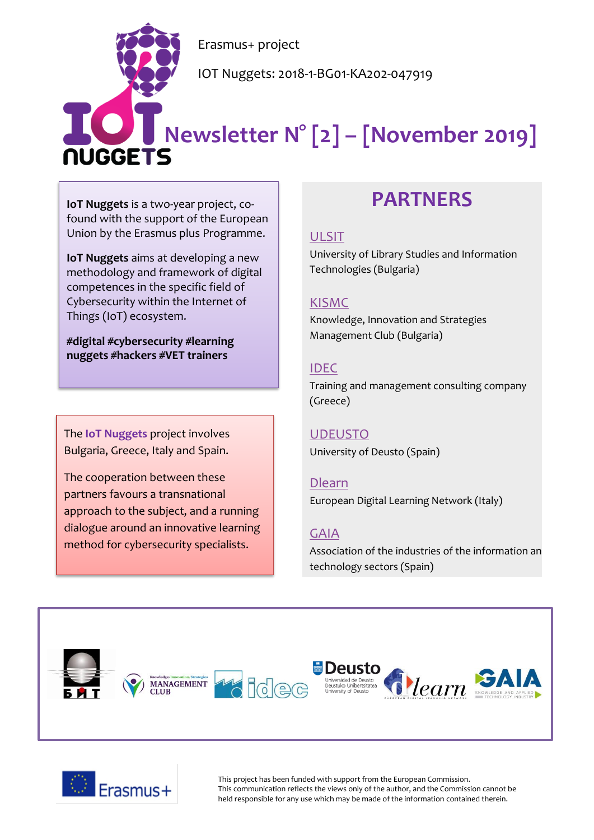Erasmus+ project

IOT Nuggets: 2018-1-BG01-KA202-047919

# **Newsletter N° [2] – [November 2019]**

**IoT Nuggets** is a two-year project, cofound with the support of the European Union by the Erasmus plus Programme.

**IoT Nuggets** aims at developing a new methodology and framework of digital competences in the specific field of Cybersecurity within the Internet of Things (IoT) ecosystem.

**#digital #cybersecurity #learning nuggets #hackers #VET trainers**

The **IoT Nuggets** project involves Bulgaria, Greece, Italy and Spain.

The cooperation between these partners favours a transnational approach to the subject, and a running dialogue around an innovative learning method for cybersecurity specialists.

## **PARTNERS**

#### [ULSIT](https://www.unibit.bg/en)

University of Library Studies and Information Technologies (Bulgaria)

#### [KISMC](http://www.innovation-mc.com/)

Knowledge, Innovation and Strategies Management Club (Bulgaria)

#### [IDEC](https://www.idec.gr/)

Training and management consulting company (Greece)

### [UDEUSTO](https://www.deusto.es/cs/Satellite/deusto/en/university-deusto)

University of Deusto (Spain)

#### [Dlearn](http://dlearn.eu/)

European Digital Learning Network (Italy)

#### [GAIA](http://www.gaia.es/)

Association of the industries of the information an technology sectors (Spain)





This project has been funded with support from the European Commission. This communication reflects the views only of the author, and the Commission cannot be held responsible for any use which may be made of the information contained therein.